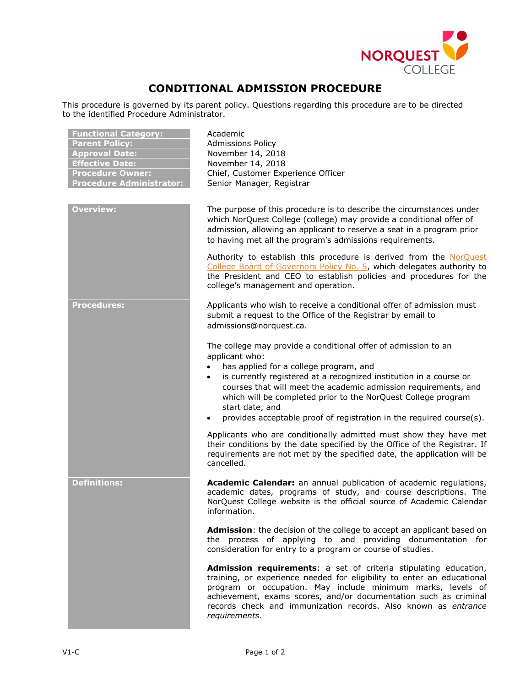

## **CONDITIONAL ADMISSION PROCEDURE**

This procedure is governed by its parent policy. Questions regarding this procedure are to be directed to the identified Procedure Administrator.

| <b>Functional Category:</b><br><b>Parent Policy:</b><br><b>Approval Date:</b><br><b>Effective Date:</b><br><b>Procedure Owner:</b><br><b>Procedure Administrator:</b> | Academic<br><b>Admissions Policy</b><br>November 14, 2018<br>November 14, 2018<br>Chief, Customer Experience Officer<br>Senior Manager, Registrar                                                                                                                                                                                                                                                                                                         |
|-----------------------------------------------------------------------------------------------------------------------------------------------------------------------|-----------------------------------------------------------------------------------------------------------------------------------------------------------------------------------------------------------------------------------------------------------------------------------------------------------------------------------------------------------------------------------------------------------------------------------------------------------|
| Overview:                                                                                                                                                             | The purpose of this procedure is to describe the circumstances under<br>which NorQuest College (college) may provide a conditional offer of<br>admission, allowing an applicant to reserve a seat in a program prior<br>to having met all the program's admissions requirements.                                                                                                                                                                          |
|                                                                                                                                                                       | Authority to establish this procedure is derived from the NorQuest<br>College Board of Governors Policy No. 5, which delegates authority to<br>the President and CEO to establish policies and procedures for the<br>college's management and operation.                                                                                                                                                                                                  |
| <b>Procedures:</b>                                                                                                                                                    | Applicants who wish to receive a conditional offer of admission must<br>submit a request to the Office of the Registrar by email to<br>admissions@norquest.ca.                                                                                                                                                                                                                                                                                            |
|                                                                                                                                                                       | The college may provide a conditional offer of admission to an<br>applicant who:<br>has applied for a college program, and<br>$\bullet$<br>is currently registered at a recognized institution in a course or<br>$\bullet$<br>courses that will meet the academic admission requirements, and<br>which will be completed prior to the NorQuest College program<br>start date, and<br>provides acceptable proof of registration in the required course(s). |
|                                                                                                                                                                       | Applicants who are conditionally admitted must show they have met<br>their conditions by the date specified by the Office of the Registrar. If<br>requirements are not met by the specified date, the application will be<br>cancelled.                                                                                                                                                                                                                   |
| <b>Definitions:</b>                                                                                                                                                   | Academic Calendar: an annual publication of academic regulations,<br>academic dates, programs of study, and course descriptions. The<br>NorQuest College website is the official source of Academic Calendar<br>information.                                                                                                                                                                                                                              |
|                                                                                                                                                                       | Admission: the decision of the college to accept an applicant based on<br>the process of applying to and providing documentation for<br>consideration for entry to a program or course of studies.                                                                                                                                                                                                                                                        |
|                                                                                                                                                                       | Admission requirements: a set of criteria stipulating education,<br>training, or experience needed for eligibility to enter an educational<br>program or occupation. May include minimum marks, levels of<br>achievement, exams scores, and/or documentation such as criminal<br>records check and immunization records. Also known as entrance<br>requirements.                                                                                          |